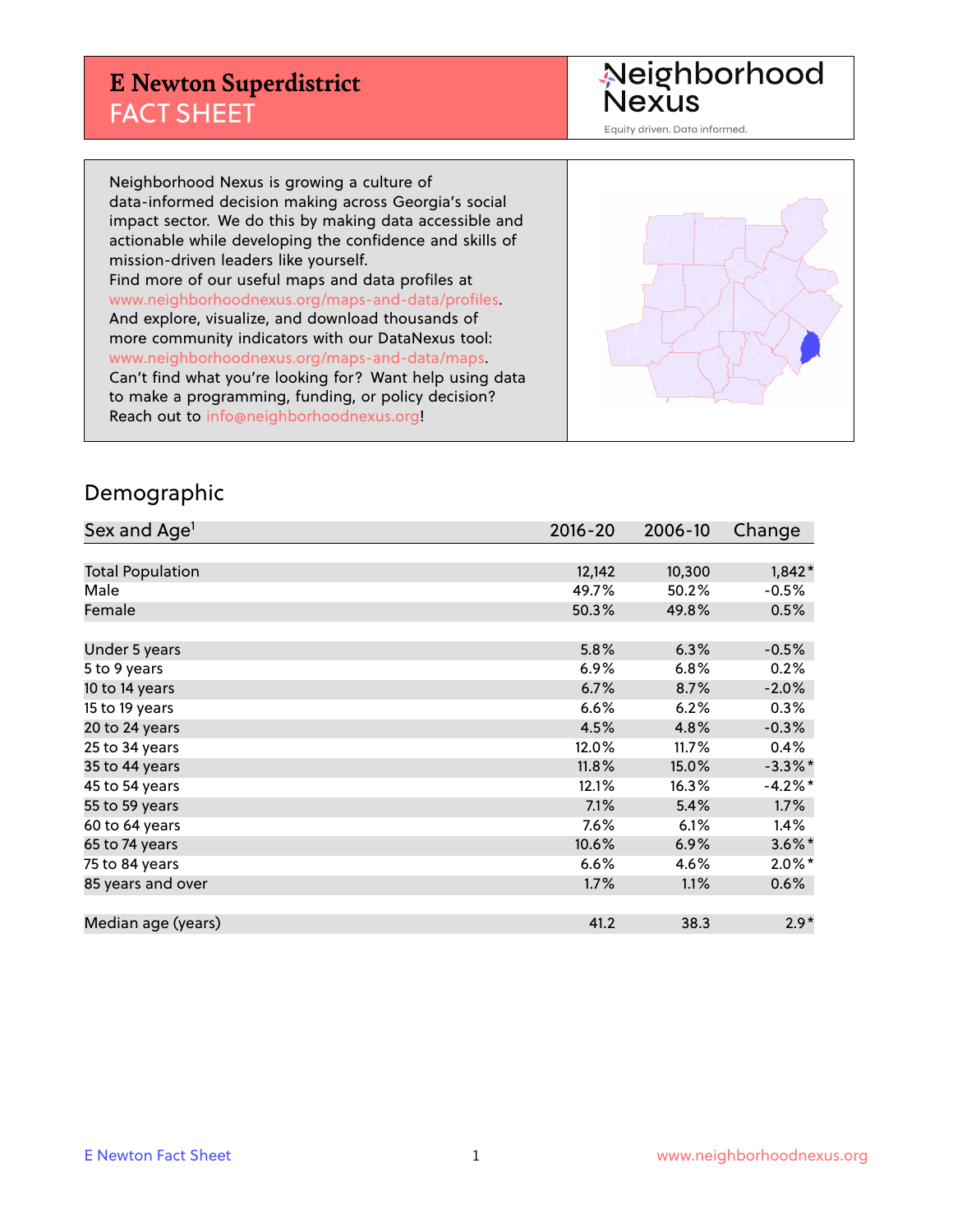## **E Newton Superdistrict** FACT SHEET

Neighborhood<br>Nexus

Equity driven. Data informed.

Neighborhood Nexus is growing a culture of data-informed decision making across Georgia's social impact sector. We do this by making data accessible and actionable while developing the confidence and skills of mission-driven leaders like yourself. Find more of our useful maps and data profiles at www.neighborhoodnexus.org/maps-and-data/profiles. And explore, visualize, and download thousands of more community indicators with our DataNexus tool: www.neighborhoodnexus.org/maps-and-data/maps. Can't find what you're looking for? Want help using data to make a programming, funding, or policy decision? Reach out to [info@neighborhoodnexus.org!](mailto:info@neighborhoodnexus.org)



#### Demographic

| Sex and Age <sup>1</sup> | $2016 - 20$ | 2006-10 | Change     |
|--------------------------|-------------|---------|------------|
|                          |             |         |            |
| <b>Total Population</b>  | 12,142      | 10,300  | $1,842*$   |
| Male                     | 49.7%       | 50.2%   | $-0.5%$    |
| Female                   | 50.3%       | 49.8%   | 0.5%       |
|                          |             |         |            |
| Under 5 years            | 5.8%        | 6.3%    | $-0.5%$    |
| 5 to 9 years             | 6.9%        | 6.8%    | 0.2%       |
| 10 to 14 years           | 6.7%        | 8.7%    | $-2.0%$    |
| 15 to 19 years           | 6.6%        | 6.2%    | 0.3%       |
| 20 to 24 years           | 4.5%        | 4.8%    | $-0.3%$    |
| 25 to 34 years           | 12.0%       | 11.7%   | 0.4%       |
| 35 to 44 years           | 11.8%       | 15.0%   | $-3.3\%$ * |
| 45 to 54 years           | 12.1%       | 16.3%   | $-4.2%$    |
| 55 to 59 years           | 7.1%        | 5.4%    | $1.7\%$    |
| 60 to 64 years           | 7.6%        | 6.1%    | 1.4%       |
| 65 to 74 years           | 10.6%       | 6.9%    | $3.6\%$ *  |
| 75 to 84 years           | 6.6%        | 4.6%    | $2.0\%$ *  |
| 85 years and over        | 1.7%        | 1.1%    | $0.6\%$    |
|                          |             |         |            |
| Median age (years)       | 41.2        | 38.3    | $2.9*$     |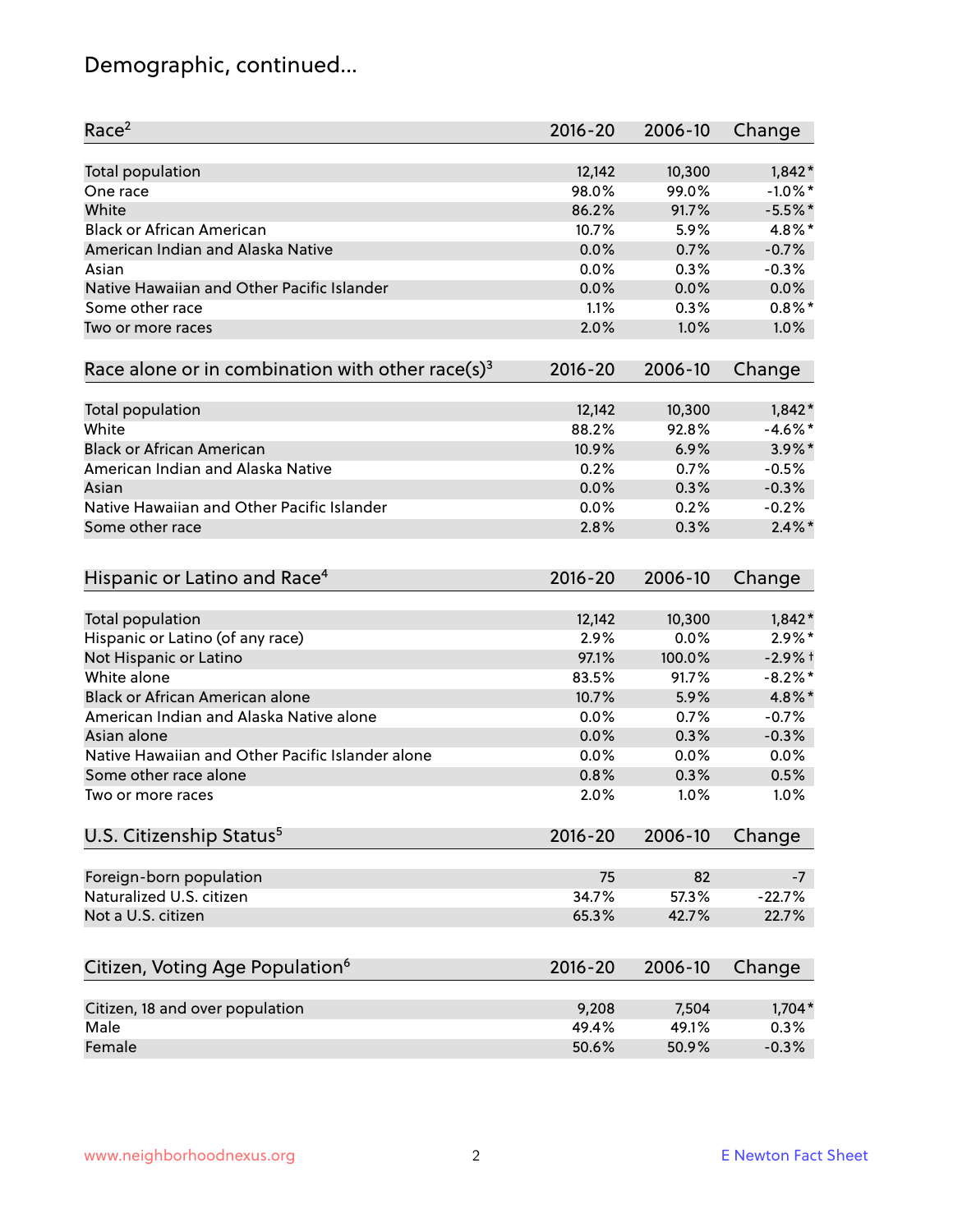# Demographic, continued...

| Race <sup>2</sup>                                            | $2016 - 20$ | 2006-10 | Change     |
|--------------------------------------------------------------|-------------|---------|------------|
| Total population                                             | 12,142      | 10,300  | $1,842*$   |
| One race                                                     | 98.0%       | 99.0%   | $-1.0\%$ * |
| White                                                        | 86.2%       | 91.7%   | $-5.5%$ *  |
| <b>Black or African American</b>                             | 10.7%       | 5.9%    | 4.8%*      |
| American Indian and Alaska Native                            | 0.0%        | 0.7%    | $-0.7%$    |
| Asian                                                        | 0.0%        | 0.3%    | $-0.3%$    |
| Native Hawaiian and Other Pacific Islander                   | 0.0%        | 0.0%    | 0.0%       |
| Some other race                                              | 1.1%        | 0.3%    | $0.8\%$ *  |
| Two or more races                                            | 2.0%        | 1.0%    | 1.0%       |
| Race alone or in combination with other race(s) <sup>3</sup> | $2016 - 20$ | 2006-10 | Change     |
| Total population                                             | 12,142      | 10,300  | $1,842*$   |
| White                                                        | 88.2%       | 92.8%   | $-4.6\%$ * |
| <b>Black or African American</b>                             | 10.9%       | 6.9%    | $3.9\%$ *  |
| American Indian and Alaska Native                            | 0.2%        | 0.7%    | $-0.5%$    |
| Asian                                                        | 0.0%        | 0.3%    | $-0.3%$    |
| Native Hawaiian and Other Pacific Islander                   | 0.0%        | 0.2%    | $-0.2%$    |
| Some other race                                              | 2.8%        | 0.3%    | $2.4\%$ *  |
|                                                              |             |         |            |
| Hispanic or Latino and Race <sup>4</sup>                     | $2016 - 20$ | 2006-10 | Change     |
| Total population                                             | 12,142      | 10,300  | $1,842*$   |
| Hispanic or Latino (of any race)                             | 2.9%        | 0.0%    | $2.9\%$ *  |
| Not Hispanic or Latino                                       | 97.1%       | 100.0%  | $-2.9%$ t  |
| White alone                                                  | 83.5%       | 91.7%   | $-8.2\%$ * |
| Black or African American alone                              | 10.7%       | 5.9%    | 4.8%*      |
| American Indian and Alaska Native alone                      | 0.0%        | 0.7%    | $-0.7%$    |
| Asian alone                                                  | 0.0%        | 0.3%    | $-0.3%$    |
| Native Hawaiian and Other Pacific Islander alone             | 0.0%        | 0.0%    | 0.0%       |
| Some other race alone                                        | 0.8%        | 0.3%    | 0.5%       |
| Two or more races                                            | 2.0%        | 1.0%    | 1.0%       |
| U.S. Citizenship Status <sup>5</sup>                         | $2016 - 20$ | 2006-10 | Change     |
|                                                              |             |         |            |
| Foreign-born population                                      | 75          | 82      | $-7$       |
| Naturalized U.S. citizen                                     | 34.7%       | 57.3%   | $-22.7%$   |
| Not a U.S. citizen                                           | 65.3%       | 42.7%   | 22.7%      |
| Citizen, Voting Age Population <sup>6</sup>                  | $2016 - 20$ | 2006-10 | Change     |
| Citizen, 18 and over population                              | 9,208       | 7,504   | 1,704*     |
| Male                                                         | 49.4%       | 49.1%   | 0.3%       |
| Female                                                       | 50.6%       | 50.9%   | $-0.3%$    |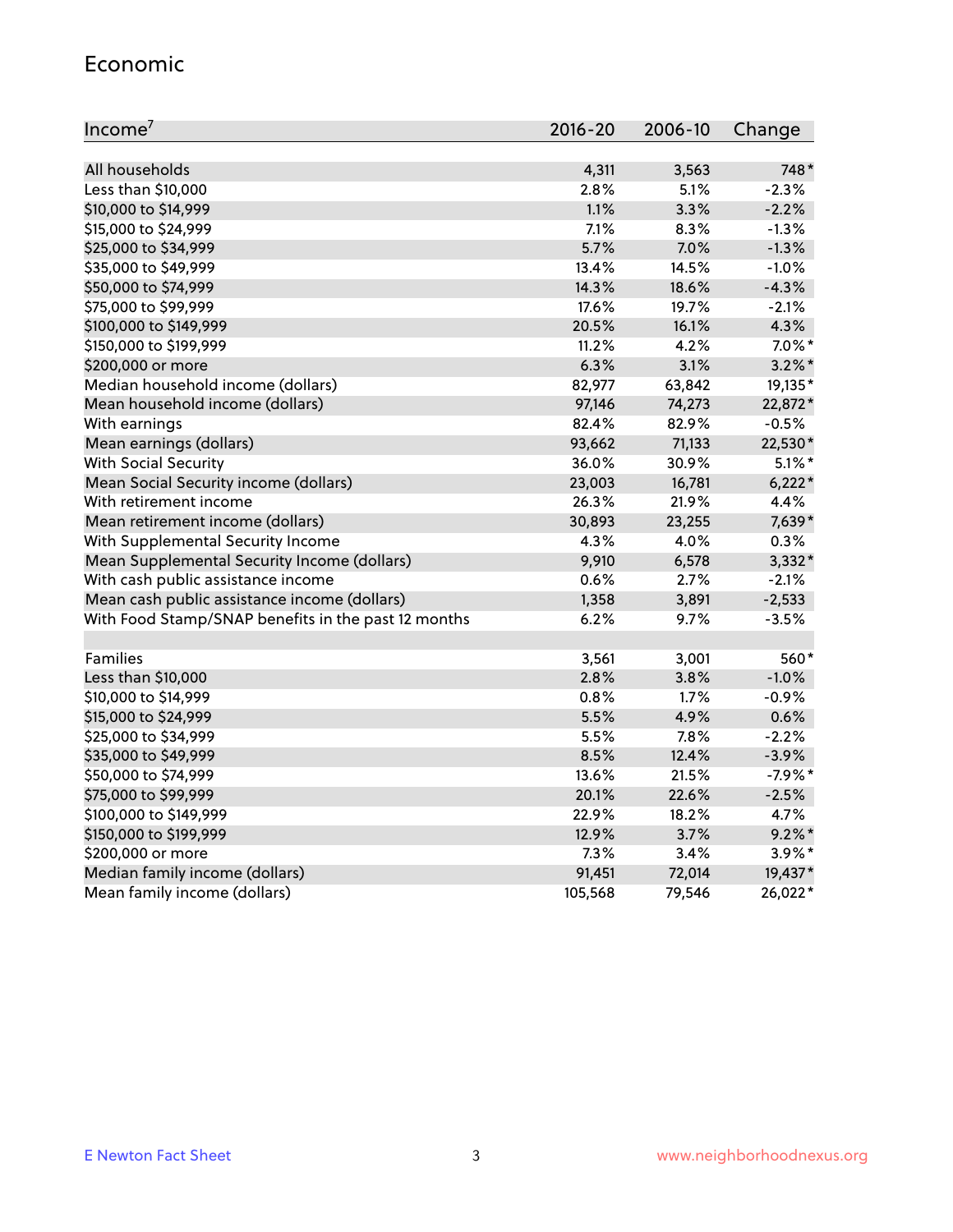#### Economic

| Income <sup>7</sup>                                 | $2016 - 20$ | 2006-10 | Change    |
|-----------------------------------------------------|-------------|---------|-----------|
|                                                     |             |         |           |
| All households                                      | 4,311       | 3,563   | 748*      |
| Less than \$10,000                                  | 2.8%        | 5.1%    | $-2.3%$   |
| \$10,000 to \$14,999                                | 1.1%        | 3.3%    | $-2.2%$   |
| \$15,000 to \$24,999                                | 7.1%        | 8.3%    | $-1.3%$   |
| \$25,000 to \$34,999                                | 5.7%        | 7.0%    | $-1.3%$   |
| \$35,000 to \$49,999                                | 13.4%       | 14.5%   | $-1.0%$   |
| \$50,000 to \$74,999                                | 14.3%       | 18.6%   | $-4.3%$   |
| \$75,000 to \$99,999                                | 17.6%       | 19.7%   | $-2.1%$   |
| \$100,000 to \$149,999                              | 20.5%       | 16.1%   | 4.3%      |
| \$150,000 to \$199,999                              | 11.2%       | 4.2%    | $7.0\%$ * |
| \$200,000 or more                                   | 6.3%        | 3.1%    | $3.2\%$ * |
| Median household income (dollars)                   | 82,977      | 63,842  | 19,135*   |
| Mean household income (dollars)                     | 97,146      | 74,273  | 22,872*   |
| With earnings                                       | 82.4%       | 82.9%   | $-0.5%$   |
| Mean earnings (dollars)                             | 93,662      | 71,133  | 22,530*   |
| <b>With Social Security</b>                         | 36.0%       | 30.9%   | $5.1\%$ * |
| Mean Social Security income (dollars)               | 23,003      | 16,781  | $6,222*$  |
| With retirement income                              | 26.3%       | 21.9%   | 4.4%      |
| Mean retirement income (dollars)                    | 30,893      | 23,255  | 7,639*    |
| With Supplemental Security Income                   | 4.3%        | 4.0%    | 0.3%      |
| Mean Supplemental Security Income (dollars)         | 9,910       | 6,578   | 3,332*    |
| With cash public assistance income                  | 0.6%        | 2.7%    | $-2.1%$   |
| Mean cash public assistance income (dollars)        | 1,358       | 3,891   | $-2,533$  |
| With Food Stamp/SNAP benefits in the past 12 months | 6.2%        | 9.7%    | $-3.5%$   |
|                                                     |             |         |           |
| Families                                            | 3,561       | 3,001   | 560*      |
| Less than \$10,000                                  | 2.8%        | 3.8%    | $-1.0%$   |
| \$10,000 to \$14,999                                | 0.8%        | 1.7%    | $-0.9%$   |
| \$15,000 to \$24,999                                | 5.5%        | 4.9%    | 0.6%      |
| \$25,000 to \$34,999                                | 5.5%        | 7.8%    | $-2.2%$   |
| \$35,000 to \$49,999                                | 8.5%        | 12.4%   | $-3.9%$   |
| \$50,000 to \$74,999                                | 13.6%       | 21.5%   | $-7.9%$ * |
| \$75,000 to \$99,999                                | 20.1%       | 22.6%   | $-2.5%$   |
| \$100,000 to \$149,999                              | 22.9%       | 18.2%   | 4.7%      |
| \$150,000 to \$199,999                              | 12.9%       | 3.7%    | $9.2\%$ * |
| \$200,000 or more                                   | 7.3%        | 3.4%    | $3.9\%$ * |
| Median family income (dollars)                      | 91,451      | 72,014  | 19,437*   |
| Mean family income (dollars)                        | 105,568     | 79,546  | 26,022*   |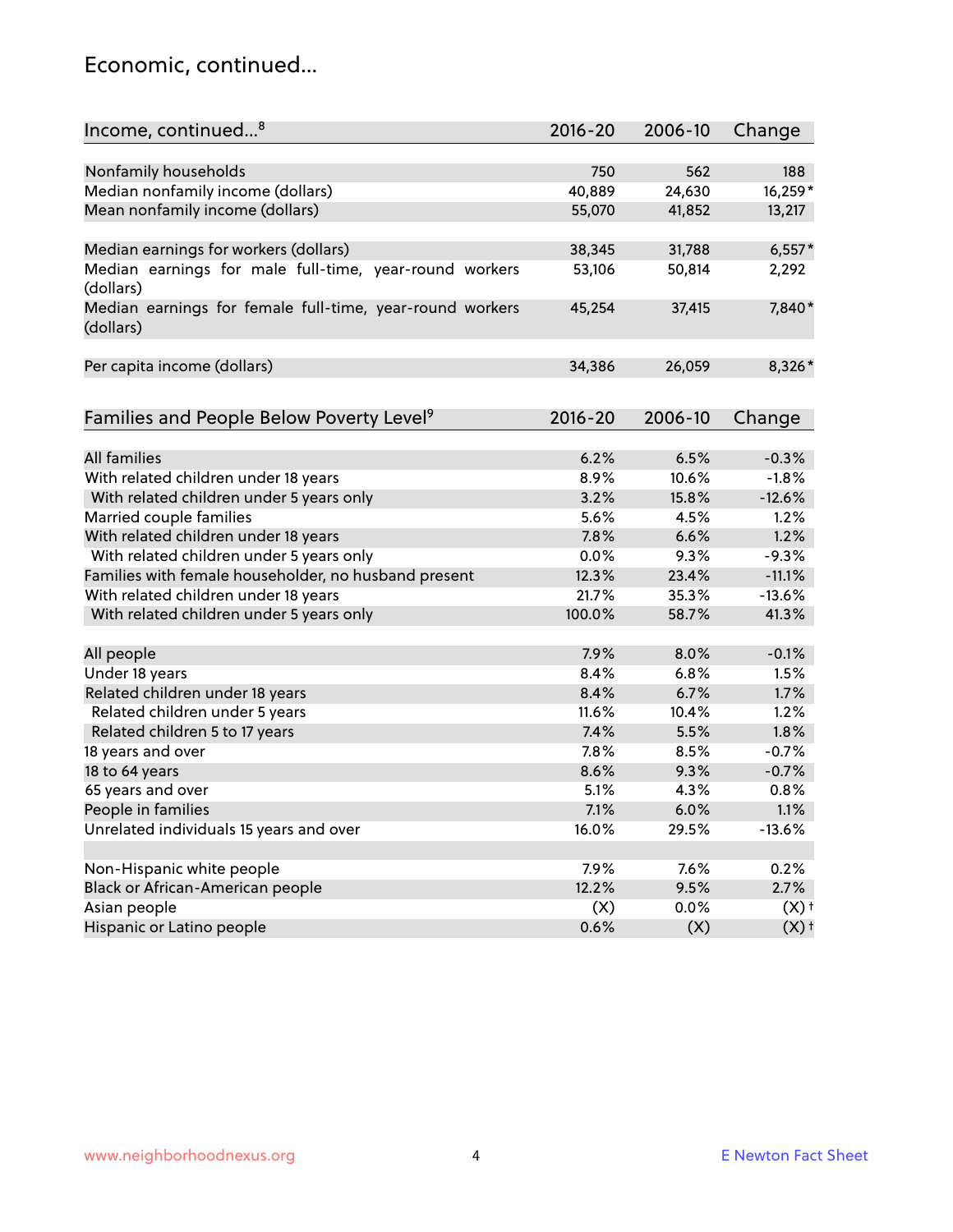#### Economic, continued...

| Income, continued <sup>8</sup>                                        | $2016 - 20$ | 2006-10 | Change             |
|-----------------------------------------------------------------------|-------------|---------|--------------------|
|                                                                       |             |         |                    |
| Nonfamily households                                                  | 750         | 562     | 188                |
| Median nonfamily income (dollars)                                     | 40,889      | 24,630  | 16,259*            |
| Mean nonfamily income (dollars)                                       | 55,070      | 41,852  | 13,217             |
| Median earnings for workers (dollars)                                 | 38,345      | 31,788  | $6,557*$           |
| Median earnings for male full-time, year-round workers                | 53,106      | 50,814  | 2,292              |
| (dollars)                                                             |             |         |                    |
| Median earnings for female full-time, year-round workers<br>(dollars) | 45,254      | 37,415  | 7,840*             |
| Per capita income (dollars)                                           | 34,386      | 26,059  | 8,326*             |
|                                                                       |             |         |                    |
| Families and People Below Poverty Level <sup>9</sup>                  | 2016-20     | 2006-10 | Change             |
|                                                                       |             |         |                    |
| <b>All families</b>                                                   | 6.2%        | 6.5%    | $-0.3%$            |
| With related children under 18 years                                  | 8.9%        | 10.6%   | $-1.8%$            |
| With related children under 5 years only                              | 3.2%        | 15.8%   | $-12.6%$           |
| Married couple families                                               | 5.6%        | 4.5%    | 1.2%               |
| With related children under 18 years                                  | 7.8%        | 6.6%    | 1.2%               |
| With related children under 5 years only                              | 0.0%        | 9.3%    | $-9.3%$            |
| Families with female householder, no husband present                  | 12.3%       | 23.4%   | $-11.1%$           |
| With related children under 18 years                                  | 21.7%       | 35.3%   | $-13.6%$           |
| With related children under 5 years only                              | 100.0%      | 58.7%   | 41.3%              |
| All people                                                            | 7.9%        | 8.0%    | $-0.1%$            |
| Under 18 years                                                        | 8.4%        | 6.8%    | 1.5%               |
| Related children under 18 years                                       | 8.4%        | 6.7%    | 1.7%               |
| Related children under 5 years                                        | 11.6%       | 10.4%   | 1.2%               |
| Related children 5 to 17 years                                        | 7.4%        | 5.5%    | 1.8%               |
| 18 years and over                                                     | 7.8%        | 8.5%    | $-0.7%$            |
| 18 to 64 years                                                        | 8.6%        | 9.3%    | $-0.7%$            |
| 65 years and over                                                     | 5.1%        | 4.3%    | 0.8%               |
| People in families                                                    | 7.1%        | 6.0%    | 1.1%               |
| Unrelated individuals 15 years and over                               | 16.0%       | 29.5%   | $-13.6%$           |
|                                                                       |             |         |                    |
| Non-Hispanic white people                                             | 7.9%        | 7.6%    | 0.2%               |
| Black or African-American people                                      | 12.2%       | 9.5%    | 2.7%               |
| Asian people                                                          | (X)         | 0.0%    | $(X)$ +            |
| Hispanic or Latino people                                             | 0.6%        | (X)     | $(X)$ <sup>+</sup> |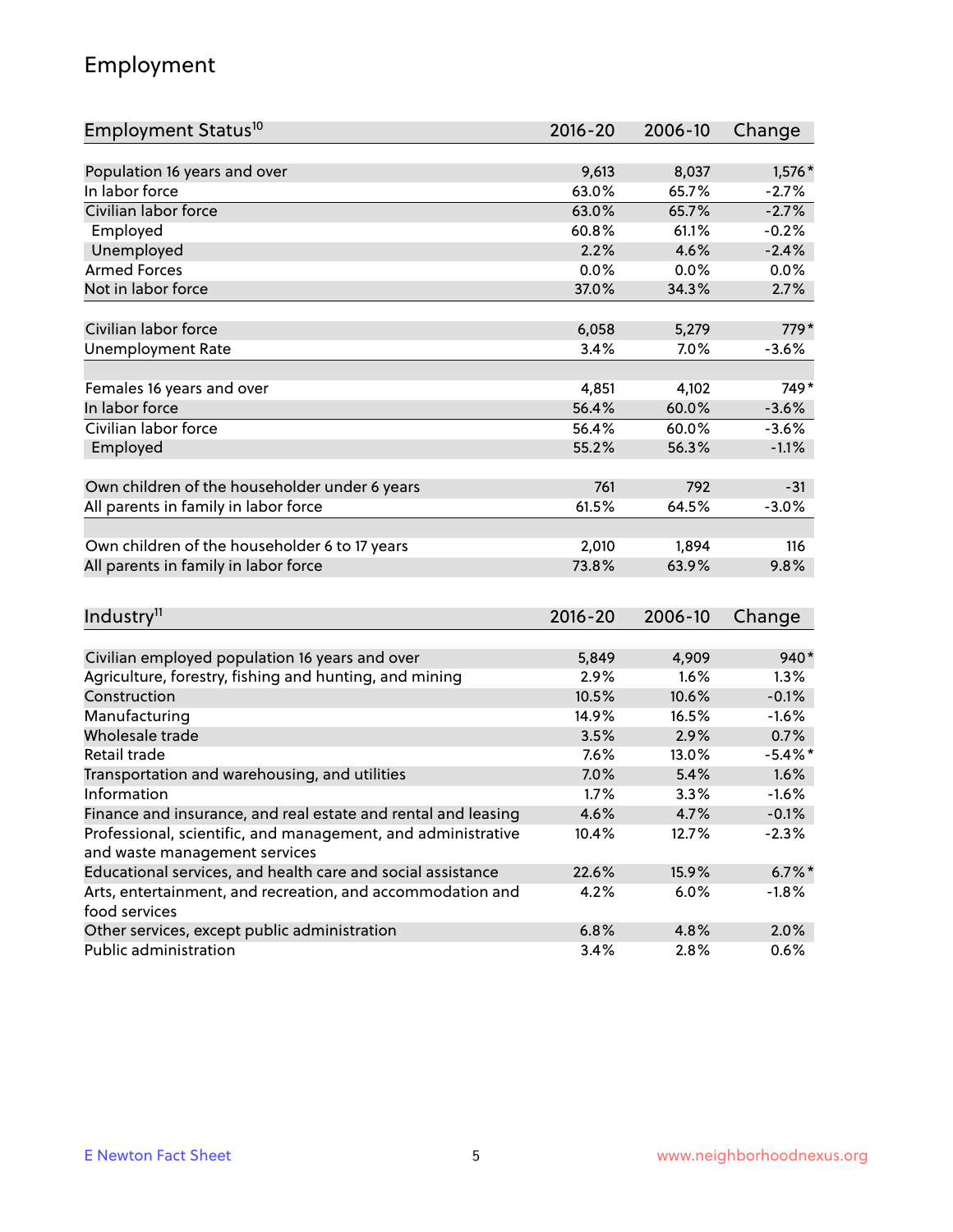## Employment

| Employment Status <sup>10</sup>                                             | $2016 - 20$ | 2006-10 | Change     |
|-----------------------------------------------------------------------------|-------------|---------|------------|
| Population 16 years and over                                                |             |         |            |
| In labor force                                                              | 9,613       | 8,037   | 1,576 *    |
| Civilian labor force                                                        | 63.0%       | 65.7%   | $-2.7%$    |
|                                                                             | 63.0%       | 65.7%   | $-2.7%$    |
| Employed                                                                    | 60.8%       | 61.1%   | $-0.2%$    |
| Unemployed                                                                  | 2.2%        | 4.6%    | $-2.4%$    |
| <b>Armed Forces</b>                                                         | 0.0%        | 0.0%    | 0.0%       |
| Not in labor force                                                          | 37.0%       | 34.3%   | 2.7%       |
| Civilian labor force                                                        | 6,058       | 5,279   | 779*       |
|                                                                             | 3.4%        | 7.0%    |            |
| <b>Unemployment Rate</b>                                                    |             |         | $-3.6%$    |
| Females 16 years and over                                                   | 4,851       | 4,102   | $749*$     |
| In labor force                                                              | 56.4%       | 60.0%   | $-3.6%$    |
| Civilian labor force                                                        | 56.4%       | 60.0%   | $-3.6%$    |
| Employed                                                                    | 55.2%       | 56.3%   | $-1.1%$    |
|                                                                             |             |         |            |
| Own children of the householder under 6 years                               | 761         | 792     | $-31$      |
| All parents in family in labor force                                        | 61.5%       | 64.5%   | $-3.0%$    |
|                                                                             |             |         |            |
| Own children of the householder 6 to 17 years                               | 2,010       | 1,894   | 116        |
| All parents in family in labor force                                        | 73.8%       | 63.9%   | 9.8%       |
|                                                                             |             |         |            |
| Industry <sup>11</sup>                                                      | $2016 - 20$ | 2006-10 | Change     |
|                                                                             |             |         |            |
| Civilian employed population 16 years and over                              | 5,849       | 4,909   | 940*       |
| Agriculture, forestry, fishing and hunting, and mining                      | 2.9%        | 1.6%    | 1.3%       |
| Construction                                                                | 10.5%       | 10.6%   | $-0.1%$    |
| Manufacturing                                                               | 14.9%       | 16.5%   | $-1.6%$    |
| Wholesale trade                                                             | 3.5%        | 2.9%    | 0.7%       |
| Retail trade                                                                | 7.6%        | 13.0%   | $-5.4\%$ * |
| Transportation and warehousing, and utilities                               | 7.0%        | 5.4%    | 1.6%       |
| Information                                                                 | 1.7%        | 3.3%    | $-1.6%$    |
| Finance and insurance, and real estate and rental and leasing               | 4.6%        | 4.7%    | $-0.1%$    |
| Professional, scientific, and management, and administrative                | 10.4%       | 12.7%   | $-2.3%$    |
| and waste management services                                               |             |         |            |
| Educational services, and health care and social assistance                 | 22.6%       | 15.9%   | $6.7\%$ *  |
| Arts, entertainment, and recreation, and accommodation and<br>food services | 4.2%        | 6.0%    | $-1.8%$    |
| Other services, except public administration                                | 6.8%        | 4.8%    | 2.0%       |
| Public administration                                                       | 3.4%        | 2.8%    | 0.6%       |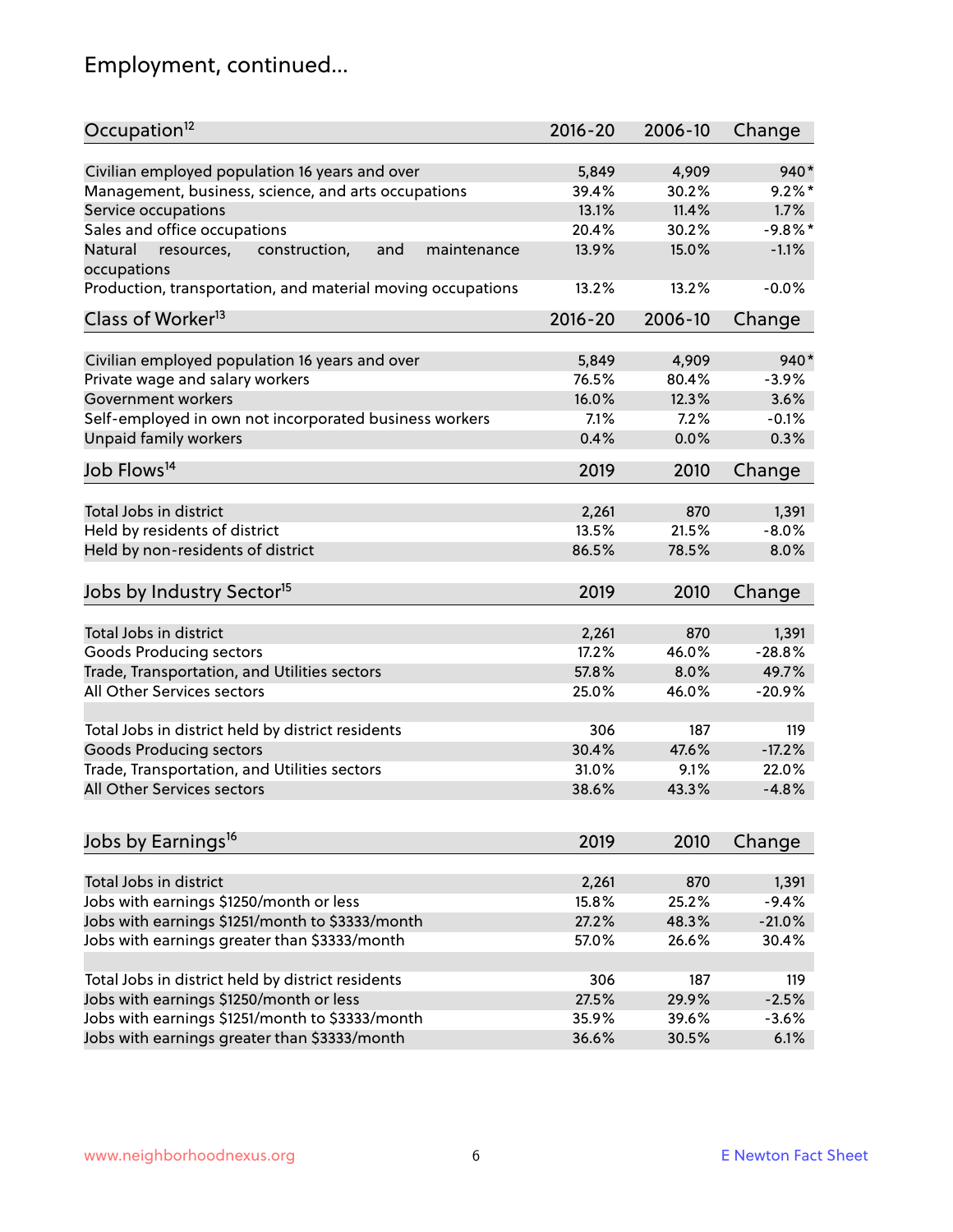# Employment, continued...

| Occupation <sup>12</sup>                                     | $2016 - 20$ | 2006-10 | Change    |
|--------------------------------------------------------------|-------------|---------|-----------|
| Civilian employed population 16 years and over               | 5,849       | 4,909   | $940*$    |
| Management, business, science, and arts occupations          | 39.4%       | 30.2%   | $9.2%$ *  |
| Service occupations                                          | 13.1%       | 11.4%   | 1.7%      |
| Sales and office occupations                                 | 20.4%       | 30.2%   | $-9.8%$ * |
| Natural<br>and<br>resources,<br>construction,<br>maintenance | 13.9%       | 15.0%   | $-1.1%$   |
| occupations                                                  |             |         |           |
| Production, transportation, and material moving occupations  | 13.2%       | 13.2%   | $-0.0%$   |
| Class of Worker <sup>13</sup>                                | $2016 - 20$ | 2006-10 | Change    |
|                                                              |             |         |           |
| Civilian employed population 16 years and over               | 5,849       | 4,909   | $940*$    |
| Private wage and salary workers                              | 76.5%       | 80.4%   | $-3.9%$   |
| Government workers                                           | 16.0%       | 12.3%   | 3.6%      |
| Self-employed in own not incorporated business workers       | 7.1%        | 7.2%    | $-0.1%$   |
| Unpaid family workers                                        | 0.4%        | 0.0%    | 0.3%      |
| Job Flows <sup>14</sup>                                      | 2019        | 2010    | Change    |
|                                                              |             |         |           |
| Total Jobs in district                                       | 2,261       | 870     | 1,391     |
| Held by residents of district                                | 13.5%       | 21.5%   | $-8.0%$   |
| Held by non-residents of district                            | 86.5%       | 78.5%   | 8.0%      |
| Jobs by Industry Sector <sup>15</sup>                        | 2019        | 2010    | Change    |
|                                                              |             |         |           |
| Total Jobs in district                                       | 2,261       | 870     | 1,391     |
| Goods Producing sectors                                      | 17.2%       | 46.0%   | $-28.8%$  |
| Trade, Transportation, and Utilities sectors                 | 57.8%       | 8.0%    | 49.7%     |
| All Other Services sectors                                   | 25.0%       | 46.0%   | $-20.9%$  |
| Total Jobs in district held by district residents            | 306         | 187     | 119       |
| <b>Goods Producing sectors</b>                               | 30.4%       | 47.6%   | $-17.2%$  |
| Trade, Transportation, and Utilities sectors                 |             |         | 22.0%     |
|                                                              | 31.0%       | 9.1%    |           |
| All Other Services sectors                                   | 38.6%       | 43.3%   | $-4.8%$   |
| Jobs by Earnings <sup>16</sup>                               | 2019        | 2010    | Change    |
|                                                              |             |         |           |
| Total Jobs in district                                       | 2,261       | 870     | 1,391     |
| Jobs with earnings \$1250/month or less                      | 15.8%       | 25.2%   | $-9.4%$   |
| Jobs with earnings \$1251/month to \$3333/month              | 27.2%       | 48.3%   | $-21.0%$  |
| Jobs with earnings greater than \$3333/month                 | 57.0%       | 26.6%   | 30.4%     |
|                                                              |             |         |           |
| Total Jobs in district held by district residents            | 306         | 187     | 119       |
| Jobs with earnings \$1250/month or less                      | 27.5%       | 29.9%   | $-2.5%$   |
| Jobs with earnings \$1251/month to \$3333/month              | 35.9%       | 39.6%   | $-3.6%$   |
| Jobs with earnings greater than \$3333/month                 | 36.6%       | 30.5%   | 6.1%      |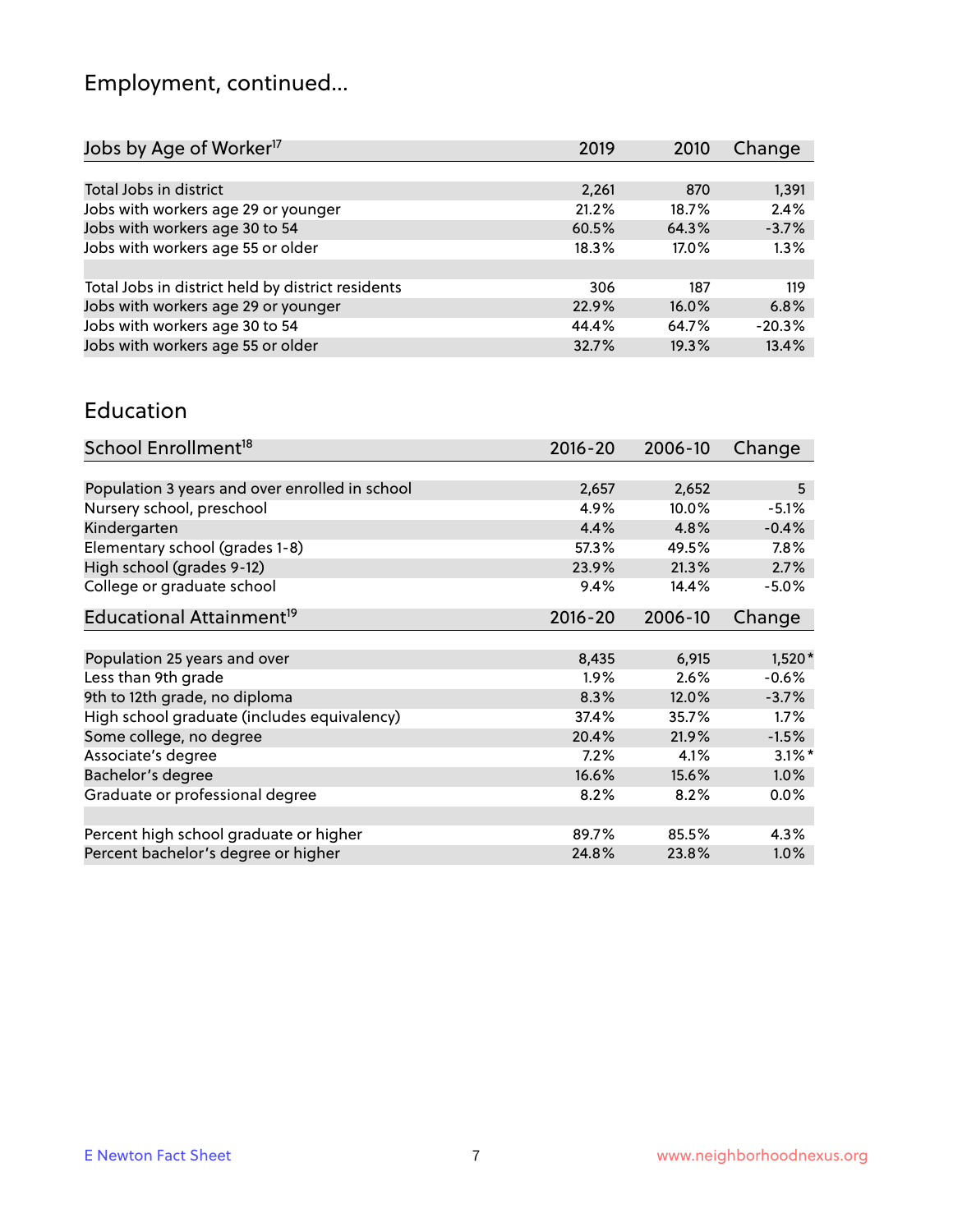# Employment, continued...

| Jobs by Age of Worker <sup>17</sup>               | 2019  | 2010  | Change   |
|---------------------------------------------------|-------|-------|----------|
|                                                   |       |       |          |
| Total Jobs in district                            | 2,261 | 870   | 1,391    |
| Jobs with workers age 29 or younger               | 21.2% | 18.7% | 2.4%     |
| Jobs with workers age 30 to 54                    | 60.5% | 64.3% | $-3.7%$  |
| Jobs with workers age 55 or older                 | 18.3% | 17.0% | 1.3%     |
|                                                   |       |       |          |
| Total Jobs in district held by district residents | 306   | 187   | 119      |
| Jobs with workers age 29 or younger               | 22.9% | 16.0% | 6.8%     |
| Jobs with workers age 30 to 54                    | 44.4% | 64.7% | $-20.3%$ |
| Jobs with workers age 55 or older                 | 32.7% | 19.3% | 13.4%    |
|                                                   |       |       |          |

#### Education

| School Enrollment <sup>18</sup>                | $2016 - 20$ | 2006-10  | Change    |
|------------------------------------------------|-------------|----------|-----------|
|                                                |             |          |           |
| Population 3 years and over enrolled in school | 2,657       | 2,652    | 5         |
| Nursery school, preschool                      | 4.9%        | $10.0\%$ | $-5.1%$   |
| Kindergarten                                   | 4.4%        | 4.8%     | $-0.4%$   |
| Elementary school (grades 1-8)                 | 57.3%       | 49.5%    | 7.8%      |
| High school (grades 9-12)                      | 23.9%       | 21.3%    | 2.7%      |
| College or graduate school                     | 9.4%        | 14.4%    | $-5.0%$   |
| Educational Attainment <sup>19</sup>           | $2016 - 20$ | 2006-10  | Change    |
|                                                |             |          |           |
| Population 25 years and over                   | 8,435       | 6,915    | $1,520*$  |
| Less than 9th grade                            | 1.9%        | 2.6%     | $-0.6%$   |
| 9th to 12th grade, no diploma                  | 8.3%        | 12.0%    | $-3.7%$   |
| High school graduate (includes equivalency)    | 37.4%       | 35.7%    | 1.7%      |
| Some college, no degree                        | 20.4%       | 21.9%    | $-1.5%$   |
| Associate's degree                             | 7.2%        | 4.1%     | $3.1\%$ * |
| Bachelor's degree                              | 16.6%       | 15.6%    | 1.0%      |
| Graduate or professional degree                | 8.2%        | 8.2%     | $0.0\%$   |
|                                                |             |          |           |
| Percent high school graduate or higher         | 89.7%       | 85.5%    | 4.3%      |
| Percent bachelor's degree or higher            | 24.8%       | 23.8%    | $1.0\%$   |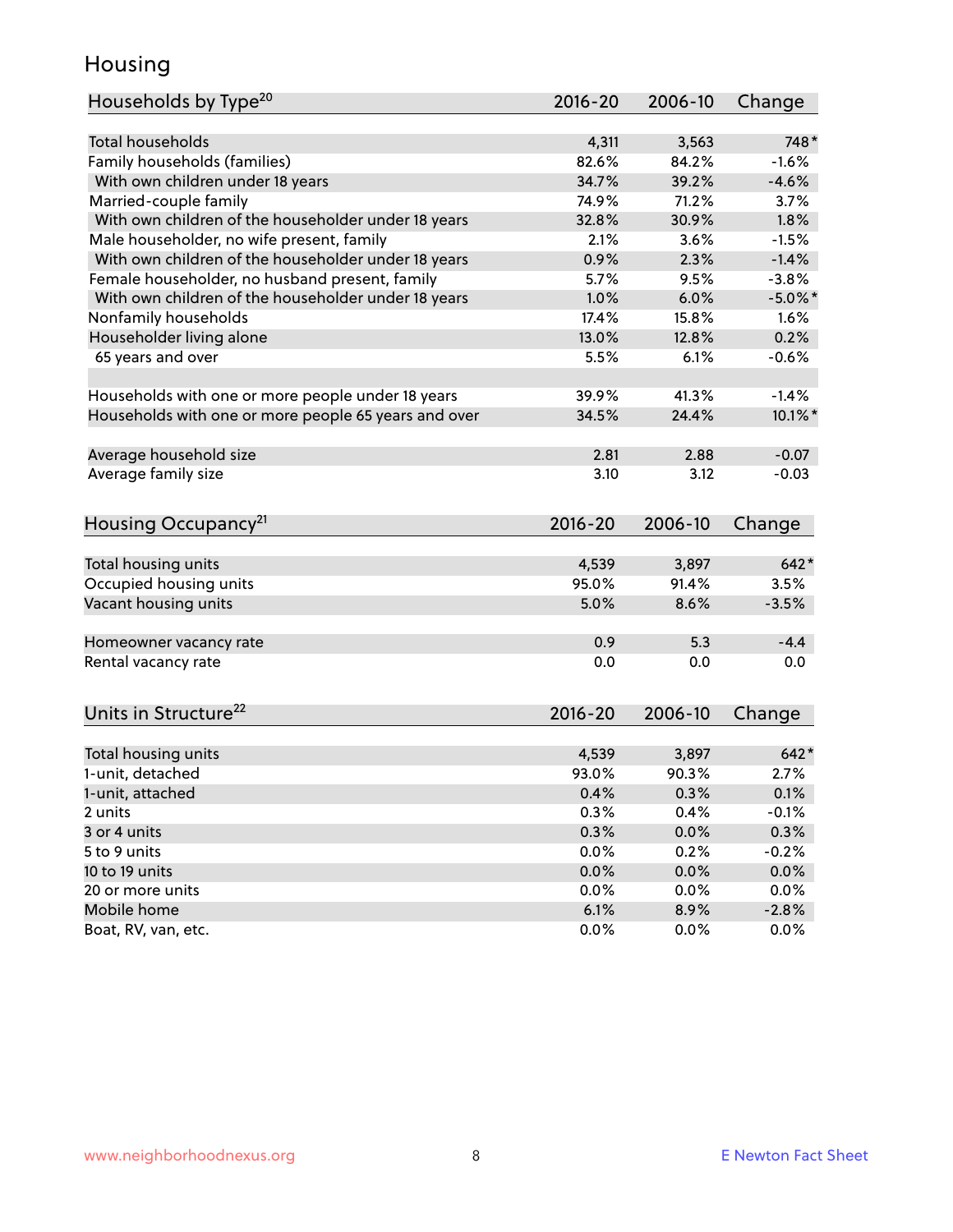#### Housing

| Households by Type <sup>20</sup>                     | 2016-20     | 2006-10 | Change     |
|------------------------------------------------------|-------------|---------|------------|
|                                                      |             |         |            |
| <b>Total households</b>                              | 4,311       | 3,563   | 748*       |
| Family households (families)                         | 82.6%       | 84.2%   | $-1.6%$    |
| With own children under 18 years                     | 34.7%       | 39.2%   | $-4.6%$    |
| Married-couple family                                | 74.9%       | 71.2%   | 3.7%       |
| With own children of the householder under 18 years  | 32.8%       | 30.9%   | 1.8%       |
| Male householder, no wife present, family            | 2.1%        | 3.6%    | $-1.5%$    |
| With own children of the householder under 18 years  | 0.9%        | 2.3%    | $-1.4%$    |
| Female householder, no husband present, family       | 5.7%        | 9.5%    | $-3.8%$    |
| With own children of the householder under 18 years  | 1.0%        | 6.0%    | $-5.0\%$ * |
| Nonfamily households                                 | 17.4%       | 15.8%   | 1.6%       |
| Householder living alone                             | 13.0%       | 12.8%   | 0.2%       |
| 65 years and over                                    | 5.5%        | 6.1%    | $-0.6%$    |
| Households with one or more people under 18 years    | 39.9%       | 41.3%   | $-1.4%$    |
| Households with one or more people 65 years and over | 34.5%       | 24.4%   | $10.1\%$ * |
|                                                      |             |         |            |
| Average household size                               | 2.81        | 2.88    | $-0.07$    |
| Average family size                                  | 3.10        | 3.12    | $-0.03$    |
| Housing Occupancy <sup>21</sup>                      | $2016 - 20$ | 2006-10 | Change     |
|                                                      |             |         |            |
| Total housing units                                  | 4,539       | 3,897   | $642*$     |
| Occupied housing units                               | 95.0%       | 91.4%   | 3.5%       |
| Vacant housing units                                 | 5.0%        | 8.6%    | $-3.5%$    |
|                                                      |             |         |            |
| Homeowner vacancy rate                               | 0.9         | 5.3     | $-4.4$     |
| Rental vacancy rate                                  | 0.0         | 0.0     | 0.0        |
|                                                      |             |         |            |
| Units in Structure <sup>22</sup>                     | $2016 - 20$ | 2006-10 | Change     |
| Total housing units                                  | 4,539       | 3,897   | $642*$     |
| 1-unit, detached                                     | 93.0%       | 90.3%   | 2.7%       |
| 1-unit, attached                                     | 0.4%        | 0.3%    | 0.1%       |
| 2 units                                              | 0.3%        | 0.4%    | $-0.1%$    |
| 3 or 4 units                                         | 0.3%        | 0.0%    | 0.3%       |
| 5 to 9 units                                         | 0.0%        | 0.2%    | $-0.2%$    |
|                                                      | 0.0%        | 0.0%    | 0.0%       |
| 10 to 19 units<br>20 or more units                   | 0.0%        | 0.0%    | 0.0%       |
| Mobile home                                          | 6.1%        | 8.9%    | $-2.8%$    |
| Boat, RV, van, etc.                                  | 0.0%        | $0.0\%$ | 0.0%       |
|                                                      |             |         |            |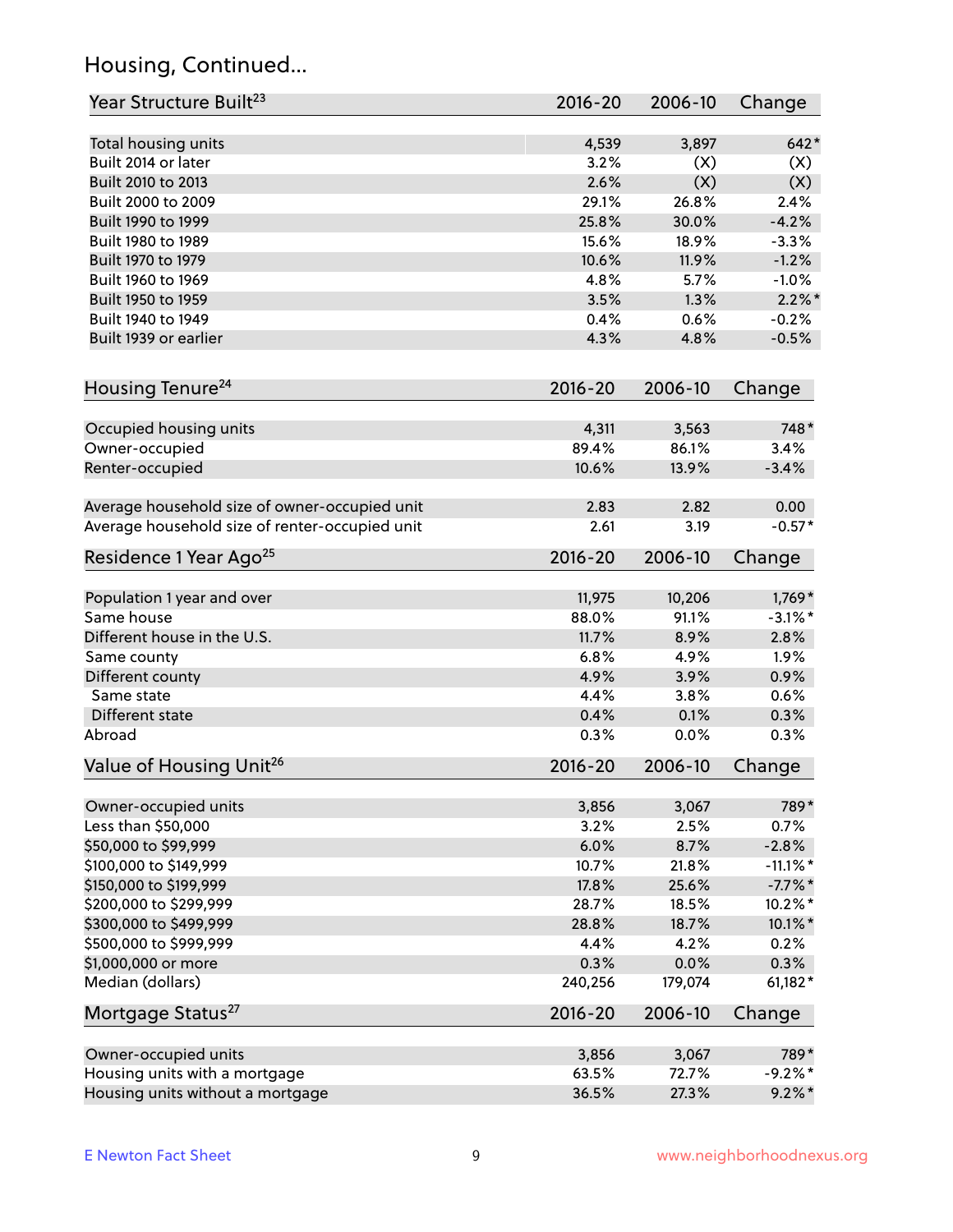## Housing, Continued...

| Year Structure Built <sup>23</sup>             | 2016-20     | 2006-10 | Change      |
|------------------------------------------------|-------------|---------|-------------|
| Total housing units                            | 4,539       | 3,897   | $642*$      |
| Built 2014 or later                            | 3.2%        | (X)     | (X)         |
| Built 2010 to 2013                             | 2.6%        | (X)     | (X)         |
| Built 2000 to 2009                             | 29.1%       | 26.8%   | 2.4%        |
| Built 1990 to 1999                             | 25.8%       | 30.0%   | $-4.2%$     |
| Built 1980 to 1989                             | 15.6%       | 18.9%   | $-3.3%$     |
| Built 1970 to 1979                             | 10.6%       | 11.9%   | $-1.2%$     |
| Built 1960 to 1969                             | 4.8%        | 5.7%    | $-1.0%$     |
| Built 1950 to 1959                             | 3.5%        | 1.3%    | $2.2\%$ *   |
| Built 1940 to 1949                             | 0.4%        | 0.6%    | $-0.2%$     |
| Built 1939 or earlier                          | 4.3%        | 4.8%    | $-0.5%$     |
| Housing Tenure <sup>24</sup>                   | $2016 - 20$ | 2006-10 | Change      |
|                                                |             |         |             |
| Occupied housing units                         | 4,311       | 3,563   | 748*        |
| Owner-occupied                                 | 89.4%       | 86.1%   | 3.4%        |
| Renter-occupied                                | 10.6%       | 13.9%   | $-3.4%$     |
| Average household size of owner-occupied unit  | 2.83        | 2.82    | 0.00        |
| Average household size of renter-occupied unit | 2.61        | 3.19    | $-0.57*$    |
| Residence 1 Year Ago <sup>25</sup>             | $2016 - 20$ | 2006-10 | Change      |
| Population 1 year and over                     | 11,975      | 10,206  | $1,769*$    |
| Same house                                     | 88.0%       | 91.1%   | $-3.1\%$ *  |
| Different house in the U.S.                    | 11.7%       | 8.9%    | 2.8%        |
| Same county                                    | 6.8%        | 4.9%    | 1.9%        |
| Different county                               | 4.9%        | 3.9%    | 0.9%        |
| Same state                                     | 4.4%        | 3.8%    | 0.6%        |
| Different state                                | 0.4%        | 0.1%    | 0.3%        |
| Abroad                                         | 0.3%        | 0.0%    | 0.3%        |
| Value of Housing Unit <sup>26</sup>            | $2016 - 20$ | 2006-10 | Change      |
|                                                |             |         |             |
| Owner-occupied units                           | 3,856       | 3,067   | 789*        |
| Less than \$50,000                             | 3.2%        | 2.5%    | 0.7%        |
| \$50,000 to \$99,999                           | 6.0%        | 8.7%    | $-2.8%$     |
| \$100,000 to \$149,999                         | 10.7%       | 21.8%   | $-11.1\%$ * |
| \$150,000 to \$199,999                         | 17.8%       | 25.6%   | $-7.7\%$ *  |
| \$200,000 to \$299,999                         | 28.7%       | 18.5%   | 10.2%*      |
| \$300,000 to \$499,999                         | 28.8%       | 18.7%   | 10.1%*      |
| \$500,000 to \$999,999                         | 4.4%        | 4.2%    | 0.2%        |
| \$1,000,000 or more                            | 0.3%        | 0.0%    | 0.3%        |
| Median (dollars)                               | 240,256     | 179,074 | 61,182*     |
| Mortgage Status <sup>27</sup>                  | $2016 - 20$ | 2006-10 | Change      |
| Owner-occupied units                           | 3,856       | 3,067   | 789*        |
| Housing units with a mortgage                  | 63.5%       | 72.7%   | $-9.2%$ *   |
| Housing units without a mortgage               | 36.5%       | 27.3%   | $9.2\%$ *   |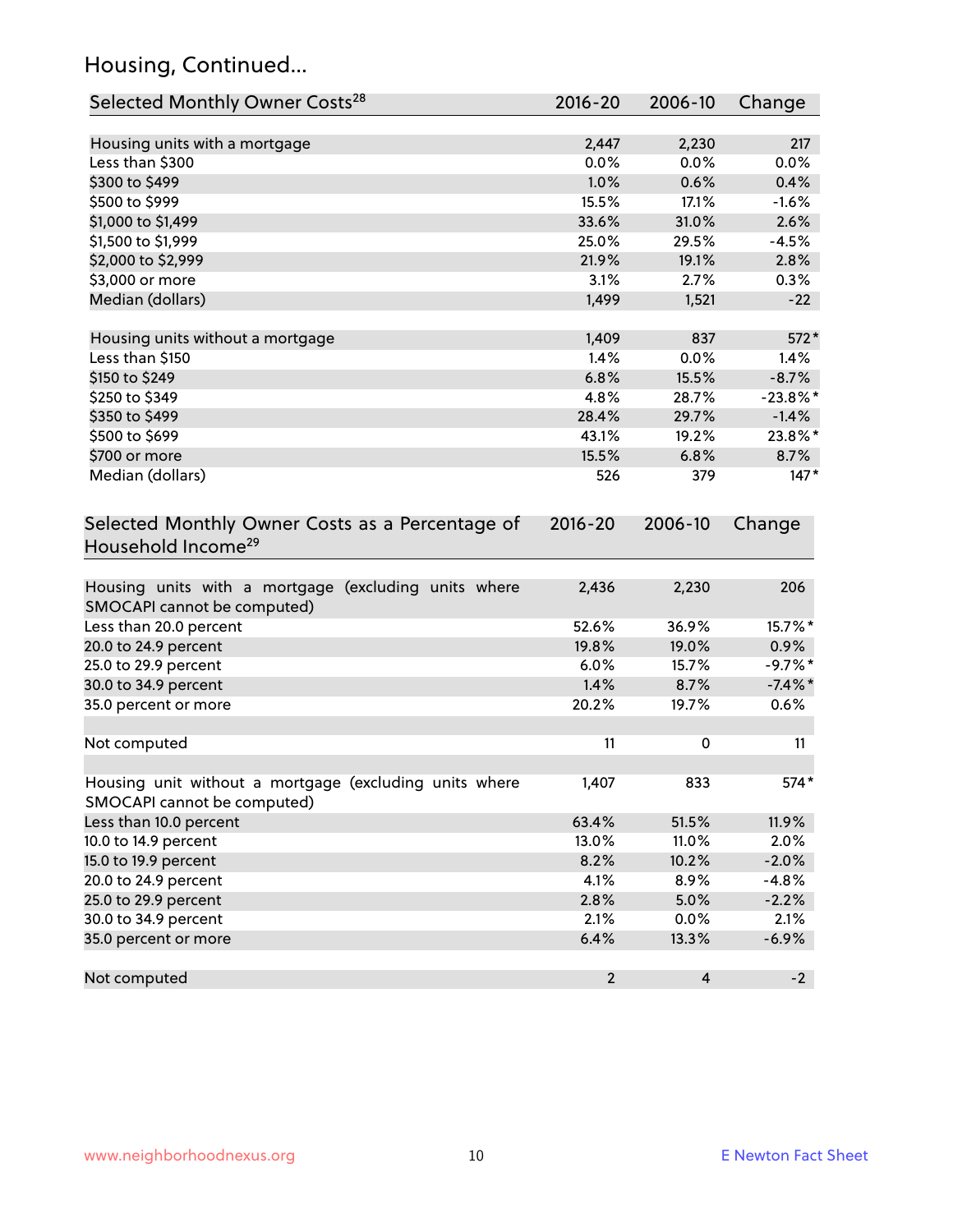## Housing, Continued...

| Selected Monthly Owner Costs <sup>28</sup>                                            | 2016-20        | 2006-10        | Change      |
|---------------------------------------------------------------------------------------|----------------|----------------|-------------|
| Housing units with a mortgage                                                         | 2,447          | 2,230          | 217         |
| Less than \$300                                                                       | 0.0%           | 0.0%           | 0.0%        |
| \$300 to \$499                                                                        | 1.0%           | 0.6%           | 0.4%        |
| \$500 to \$999                                                                        | 15.5%          | 17.1%          | $-1.6%$     |
| \$1,000 to \$1,499                                                                    | 33.6%          | 31.0%          | 2.6%        |
| \$1,500 to \$1,999                                                                    | 25.0%          | 29.5%          | $-4.5%$     |
| \$2,000 to \$2,999                                                                    | 21.9%          | 19.1%          | 2.8%        |
| \$3,000 or more                                                                       | 3.1%           | 2.7%           | 0.3%        |
| Median (dollars)                                                                      | 1,499          | 1,521          | $-22$       |
|                                                                                       |                |                |             |
| Housing units without a mortgage                                                      | 1,409          | 837            | 572*        |
| Less than \$150                                                                       | 1.4%           | 0.0%           | 1.4%        |
| \$150 to \$249                                                                        | 6.8%           | 15.5%          | $-8.7%$     |
| \$250 to \$349                                                                        | 4.8%           | 28.7%          | $-23.8\%$ * |
| \$350 to \$499                                                                        | 28.4%          | 29.7%          | $-1.4%$     |
| \$500 to \$699                                                                        | 43.1%          | 19.2%          | 23.8%*      |
| \$700 or more                                                                         | 15.5%          | 6.8%           | 8.7%        |
| Median (dollars)                                                                      | 526            | 379            | $147*$      |
| Selected Monthly Owner Costs as a Percentage of<br>Household Income <sup>29</sup>     |                |                | Change      |
| Housing units with a mortgage (excluding units where<br>SMOCAPI cannot be computed)   | 2,436          | 2,230          | 206         |
| Less than 20.0 percent                                                                | 52.6%          | 36.9%          | 15.7%*      |
| 20.0 to 24.9 percent                                                                  | 19.8%          | 19.0%          | $0.9\%$     |
| 25.0 to 29.9 percent                                                                  | 6.0%           | 15.7%          | $-9.7%$ *   |
| 30.0 to 34.9 percent                                                                  | 1.4%           | 8.7%           | $-7.4\%$ *  |
| 35.0 percent or more                                                                  | 20.2%          | 19.7%          | 0.6%        |
| Not computed                                                                          | 11             | 0              | 11          |
| Housing unit without a mortgage (excluding units where<br>SMOCAPI cannot be computed) | 1,407          | 833            | 574*        |
| Less than 10.0 percent                                                                | 63.4%          | 51.5%          | 11.9%       |
| 10.0 to 14.9 percent                                                                  | 13.0%          | 11.0%          | 2.0%        |
| 15.0 to 19.9 percent                                                                  | 8.2%           | 10.2%          | $-2.0%$     |
| 20.0 to 24.9 percent                                                                  | 4.1%           | 8.9%           | $-4.8%$     |
| 25.0 to 29.9 percent                                                                  | 2.8%           | 5.0%           | $-2.2%$     |
| 30.0 to 34.9 percent                                                                  | 2.1%           | 0.0%           | 2.1%        |
| 35.0 percent or more                                                                  | 6.4%           | 13.3%          | $-6.9%$     |
| Not computed                                                                          | $\overline{2}$ | $\overline{4}$ | $-2$        |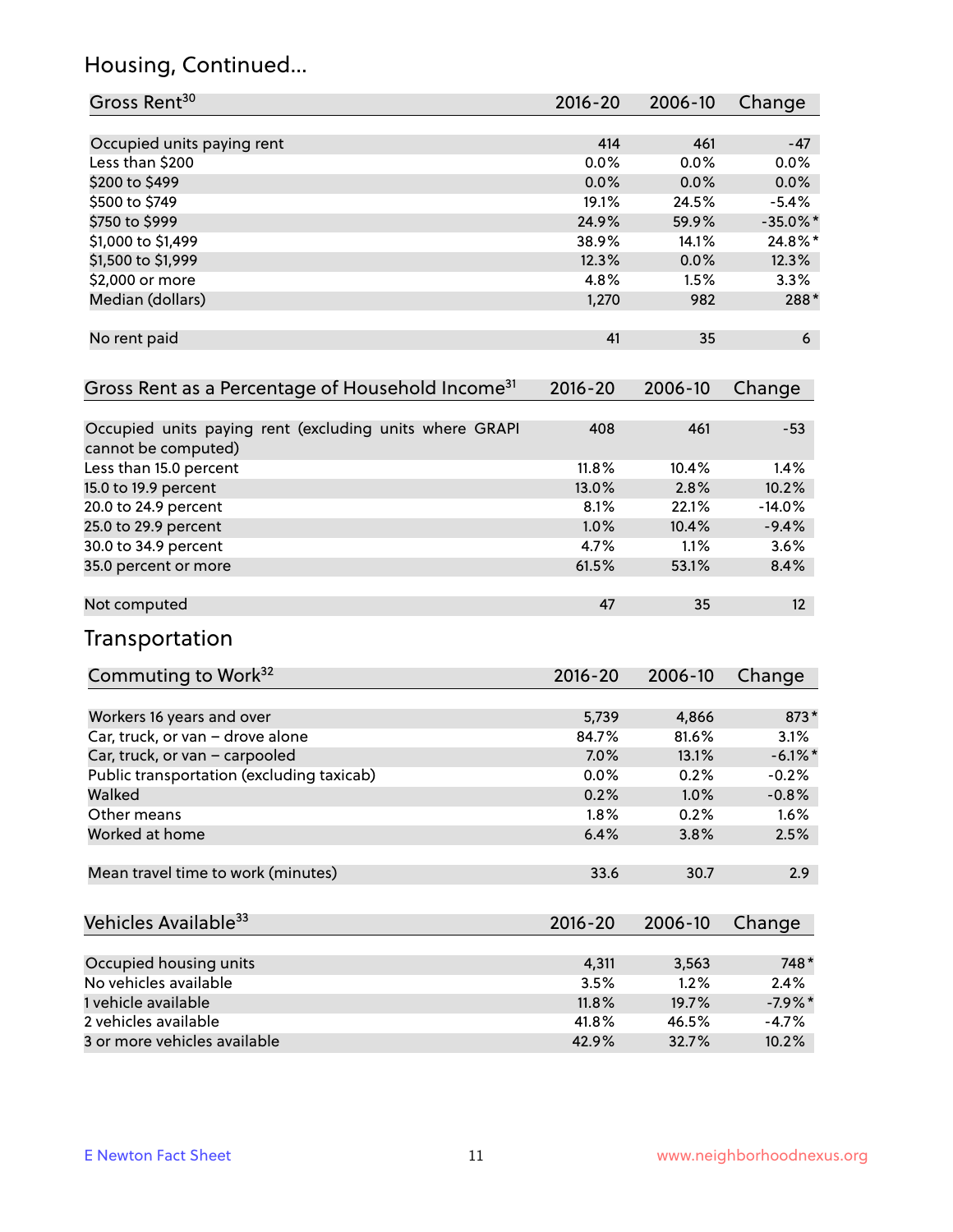## Housing, Continued...

| Gross Rent <sup>30</sup>                                                       | 2016-20 | 2006-10       | Change                 |
|--------------------------------------------------------------------------------|---------|---------------|------------------------|
|                                                                                | 414     | 461           | $-47$                  |
| Occupied units paying rent<br>Less than \$200                                  | 0.0%    | 0.0%          | 0.0%                   |
| \$200 to \$499                                                                 | 0.0%    | 0.0%          | 0.0%                   |
| \$500 to \$749                                                                 | 19.1%   | 24.5%         |                        |
|                                                                                | 24.9%   | 59.9%         | $-5.4%$<br>$-35.0\%$ * |
| \$750 to \$999<br>\$1,000 to \$1,499                                           | 38.9%   |               | 24.8%*                 |
|                                                                                | 12.3%   | 14.1%<br>0.0% | 12.3%                  |
| \$1,500 to \$1,999<br>\$2,000 or more                                          | 4.8%    | 1.5%          | 3.3%                   |
| Median (dollars)                                                               | 1,270   | 982           | 288*                   |
|                                                                                |         |               |                        |
| No rent paid                                                                   | 41      | 35            | 6                      |
| Gross Rent as a Percentage of Household Income <sup>31</sup>                   | 2016-20 | 2006-10       | Change                 |
|                                                                                |         |               |                        |
| Occupied units paying rent (excluding units where GRAPI<br>cannot be computed) | 408     | 461           | $-53$                  |
| Less than 15.0 percent                                                         | 11.8%   | 10.4%         | 1.4%                   |
| 15.0 to 19.9 percent                                                           | 13.0%   | 2.8%          | 10.2%                  |
| 20.0 to 24.9 percent                                                           | 8.1%    | 22.1%         | $-14.0%$               |
| 25.0 to 29.9 percent                                                           | 1.0%    | 10.4%         | $-9.4%$                |
| 30.0 to 34.9 percent                                                           | 4.7%    | 1.1%          | 3.6%                   |
| 35.0 percent or more                                                           | 61.5%   | 53.1%         | 8.4%                   |
| Not computed                                                                   | 47      | 35            | 12 <sup>2</sup>        |
| Transportation                                                                 |         |               |                        |
| Commuting to Work <sup>32</sup>                                                | 2016-20 | 2006-10       | Change                 |
| Workers 16 years and over                                                      | 5,739   | 4,866         | 873*                   |
| Car, truck, or van - drove alone                                               | 84.7%   | 81.6%         | 3.1%                   |
| Car, truck, or van - carpooled                                                 | 7.0%    | 13.1%         | $-6.1\%$ *             |
| Public transportation (excluding taxicab)                                      | 0.0%    | 0.2%          | $-0.2%$                |
| Walked                                                                         | 0.2%    | 1.0%          | $-0.8%$                |
| Other means                                                                    | 1.8%    | 0.2%          | 1.6%                   |
| Worked at home                                                                 | 6.4%    | 3.8%          | 2.5%                   |
| Mean travel time to work (minutes)                                             | 33.6    | 30.7          | 2.9                    |
| Vehicles Available <sup>33</sup>                                               | 2016-20 | 2006-10       | Change                 |
|                                                                                |         |               |                        |
| Occupied housing units                                                         | 4,311   | 3,563         | 748*                   |
| No vehicles available                                                          | 3.5%    | 1.2%          | 2.4%                   |
| 1 vehicle available                                                            | 11.8%   | 19.7%         | $-7.9%$ *              |
| 2 vehicles available                                                           | 41.8%   | 46.5%         | $-4.7%$                |
| 3 or more vehicles available                                                   | 42.9%   | 32.7%         | 10.2%                  |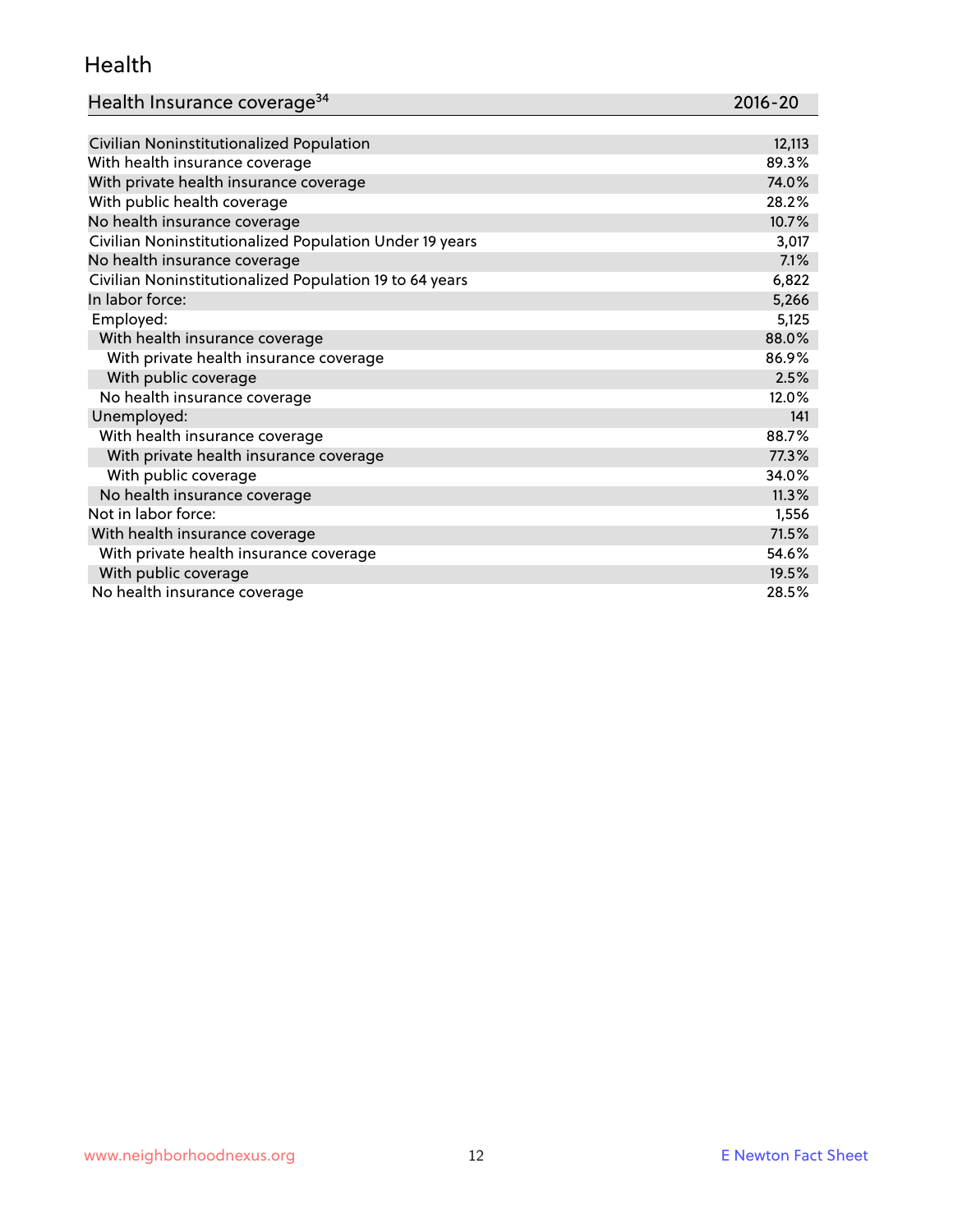#### Health

| Health Insurance coverage <sup>34</sup> | 2016-20 |
|-----------------------------------------|---------|
|-----------------------------------------|---------|

| Civilian Noninstitutionalized Population                | 12,113 |
|---------------------------------------------------------|--------|
| With health insurance coverage                          | 89.3%  |
| With private health insurance coverage                  | 74.0%  |
| With public health coverage                             | 28.2%  |
| No health insurance coverage                            | 10.7%  |
| Civilian Noninstitutionalized Population Under 19 years | 3,017  |
| No health insurance coverage                            | 7.1%   |
| Civilian Noninstitutionalized Population 19 to 64 years | 6,822  |
| In labor force:                                         | 5,266  |
| Employed:                                               | 5,125  |
| With health insurance coverage                          | 88.0%  |
| With private health insurance coverage                  | 86.9%  |
| With public coverage                                    | 2.5%   |
| No health insurance coverage                            | 12.0%  |
| Unemployed:                                             | 141    |
| With health insurance coverage                          | 88.7%  |
| With private health insurance coverage                  | 77.3%  |
| With public coverage                                    | 34.0%  |
| No health insurance coverage                            | 11.3%  |
| Not in labor force:                                     | 1,556  |
| With health insurance coverage                          | 71.5%  |
| With private health insurance coverage                  | 54.6%  |
| With public coverage                                    | 19.5%  |
| No health insurance coverage                            | 28.5%  |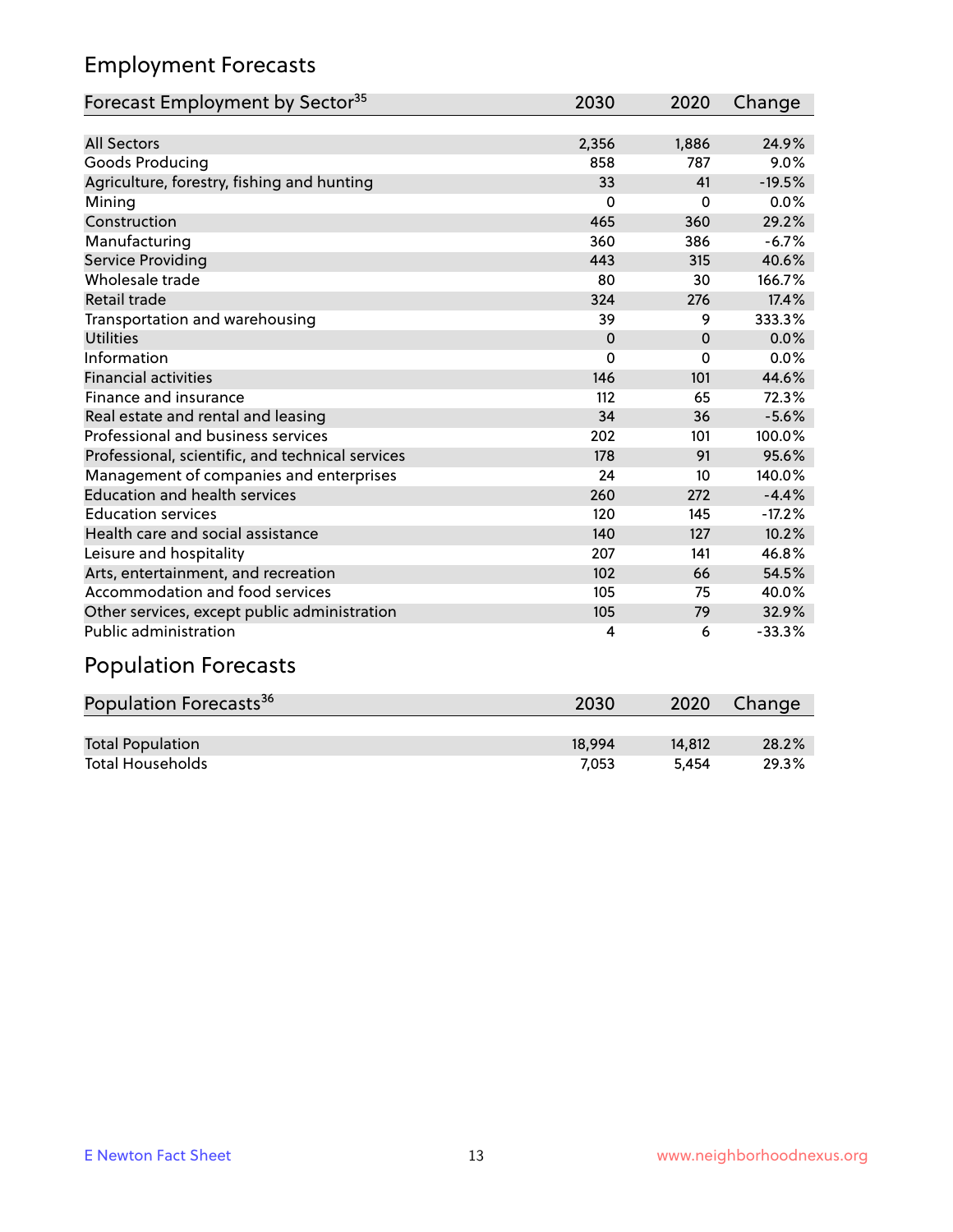## Employment Forecasts

| Forecast Employment by Sector <sup>35</sup>      | 2030     | 2020     | Change   |
|--------------------------------------------------|----------|----------|----------|
|                                                  |          |          |          |
| <b>All Sectors</b>                               | 2,356    | 1,886    | 24.9%    |
| Goods Producing                                  | 858      | 787      | 9.0%     |
| Agriculture, forestry, fishing and hunting       | 33       | 41       | $-19.5%$ |
| Mining                                           | 0        | $\Omega$ | 0.0%     |
| Construction                                     | 465      | 360      | 29.2%    |
| Manufacturing                                    | 360      | 386      | $-6.7%$  |
| Service Providing                                | 443      | 315      | 40.6%    |
| Wholesale trade                                  | 80       | 30       | 166.7%   |
| <b>Retail trade</b>                              | 324      | 276      | 17.4%    |
| Transportation and warehousing                   | 39       | 9        | 333.3%   |
| <b>Utilities</b>                                 | $\Omega$ | $\Omega$ | 0.0%     |
| Information                                      | 0        | $\Omega$ | 0.0%     |
| <b>Financial activities</b>                      | 146      | 101      | 44.6%    |
| Finance and insurance                            | 112      | 65       | 72.3%    |
| Real estate and rental and leasing               | 34       | 36       | $-5.6%$  |
| Professional and business services               | 202      | 101      | 100.0%   |
| Professional, scientific, and technical services | 178      | 91       | 95.6%    |
| Management of companies and enterprises          | 24       | 10       | 140.0%   |
| <b>Education and health services</b>             | 260      | 272      | $-4.4%$  |
| <b>Education services</b>                        | 120      | 145      | $-17.2%$ |
| Health care and social assistance                | 140      | 127      | 10.2%    |
| Leisure and hospitality                          | 207      | 141      | 46.8%    |
| Arts, entertainment, and recreation              | 102      | 66       | 54.5%    |
| Accommodation and food services                  | 105      | 75       | 40.0%    |
| Other services, except public administration     | 105      | 79       | 32.9%    |
| Public administration                            | 4        | 6        | $-33.3%$ |

# Population Forecasts

| Population Forecasts <sup>36</sup> | 2030   | 2020   | Change |
|------------------------------------|--------|--------|--------|
|                                    |        |        |        |
| <b>Total Population</b>            | 18.994 | 14.812 | 28.2%  |
| <b>Total Households</b>            | 7.053  | 5.454  | 29.3%  |